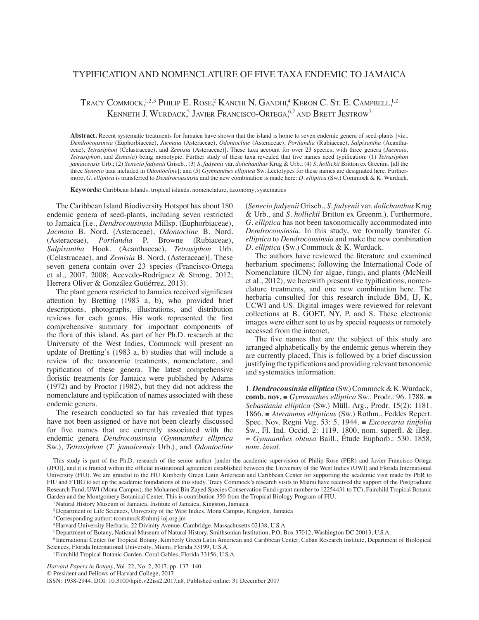## Typification and nomenclature of five taxa endemic to Jamaica

Tracy Commock,<sup>1,2,3</sup> Philip E. Rose,<sup>2</sup> Kanchi N. Gandhi,<sup>4</sup> Keron C. St. E. Campbell,<sup>1,2</sup> Kenneth J. Wurdack,<sup>5</sup> Javier Francisco-Ortega,<sup>6,7</sup> and Brett Jestrow<sup>7</sup>

Abstract. Recent systematic treatments for Jamaica have shown that the island is home to seven endemic genera of seed-plants [viz., *Dendrocousinsia* (Euphorbiaceae), *Jacmaia* (Asteraceae), *Odontocline* (Asteraceae), *Portlandia* (Rubiaceae), *Salpixantha* (Acanthaceae), *Tetrasiphon* (Celastraceae), and *Zemisia* (Asteraceae)]. These taxa account for over 23 species, with three genera (*Jacmaia*, *Tetrasiphon*, and *Zemisia*) being monotypic. Further study of these taxa revealed that five names need typification: (1) *Tetrasiphon jamaicensis* Urb.; (2) *Senecio fadyenii* Griseb.; (3) *S. fadyenii* var. *dolichanthus* Krug & Urb.; (4) *S. hollickii* Britton ex Greenm. [all the three *Senecio* taxa included in *Odontocline*]; and (5) *Gymnanthes elliptica* Sw. Lectotypes for these names are designated here. Furthermore, *G. elliptica* is transferred to *Dendrocousinsia* and the new combination is made here: *D. elliptica* (Sw.) Commock & K. Wurdack.

**Keywords:** Caribbean Islands, tropical islands, nomenclature, taxonomy, systematics

The Caribbean Island Biodiversity Hotspot has about 180 endemic genera of seed-plants, including seven restricted to Jamaica [i.e., *Dendrocousinsia* Millsp. (Euphorbiaceae), *Jacmaia* B. Nord. (Asteraceae), *Odontocline* B. Nord. (Asteraceae), *Portlandia* P. Browne (Rubiaceae), *Salpixantha* Hook. (Acanthaceae), *Tetrasiphon* Urb. (Celastraceae), and *Zemisia* B. Nord. (Asteraceae)]. These seven genera contain over 23 species (Francisco-Ortega et al., 2007, 2008; Acevedo-Rodríguez & Strong, 2012; Herrera Oliver & González Gutiérrez, 2013).

The plant genera restricted to Jamaica received significant attention by Bretting (1983 a, b), who provided brief descriptions, photographs, illustrations, and distribution reviews for each genus. His work represented the first comprehensive summary for important components of the flora of this island. As part of her Ph.D. research at the University of the West Indies, Commock will present an update of Bretting's (1983 a, b) studies that will include a review of the taxonomic treatments, nomenclature, and typification of these genera. The latest comprehensive floristic treatments for Jamaica were published by Adams (1972) and by Proctor (1982), but they did not address the nomenclature and typification of names associated with these endemic genera.

The research conducted so far has revealed that types have not been assigned or have not been clearly discussed for five names that are currently associated with the endemic genera *Dendrocousinsia* (*Gymnanthes elliptica* Sw.), *Tetrasiphon* (*T. jamaicensis* Urb.), and *Odontocline* 

(*Senecio fadyenii* Griseb., *S. fadyenii* var. *dolichanthus* Krug & Urb., and *S. hollickii* Britton ex Greenm.). Furthermore, *G. elliptica* has not been taxonomically accommodated into *Dendrocousinsia*. In this study, we formally transfer *G. elliptica* to *Dendrocousinsia* and make the new combination *D. elliptica* (Sw.) Commock & K. Wurdack.

The authors have reviewed the literature and examined herbarium specimens; following the International Code of Nomenclature (ICN) for algae, fungi, and plants (McNeill et al., 2012), we herewith present five typifications, nomenclature treatments, and one new combination here. The herbaria consulted for this research include BM, IJ, K, UCWI and US. Digital images were reviewed for relevant collections at B, GOET, NY, P, and S. These electronic images were either sent to us by special requests or remotely accessed from the internet.

The five names that are the subject of this study are arranged alphabetically by the endemic genus wherein they are currently placed. This is followed by a brief discussion justifying the typifications and providing relevant taxonomic and systematics information.

1. *Dendrocousinsia elliptica* (Sw.) Commock & K. Wurdack, **comb. nov.** ≡ *Gymnanthes elliptica* Sw., Prodr.: 96. 1788. ≡ *Sebastiania elliptica* (Sw.) Müll. Arg., Prodr. 15(2): 1181. 1866. ≡ *Ateramnus ellipticus* (Sw.) Rothm., Feddes Repert. Spec. Nov. Regni Veg. 53: 5. 1944*.* ≡ *Excoecaria tinifolia*  Sw., Fl. Ind. Occid. 2: 1119. 1800, nom. superfl. & illeg. = *Gymnanthes obtusa* Baill., Étude Euphorb.: 530. 1858*, nom. inval.*

This study is part of the Ph.D. research of the senior author [under the academic supervision of Philip Rose (PER) and Javier Francisco-Ortega (JFO)], and it is framed within the official institutional agreement established between the University of the West Indies (UWI) and Florida International University (FIU). We are grateful to the FIU Kimberly Green Latin American and Caribbean Center for supporting the academic visit made by PER to FIU and FTBG to set up the academic foundations of this study. Tracy Commock's research visits to Miami have received the support of the Postgraduate Research Fund, UWI (Mona Campus), the Mohamed Bin Zayed Species Conservation Fund (grant number to 12254431 to TC), Fairchild Tropical Botanic Garden and the Montgomery Botanical Center. This is contribution 350 from the Tropical Biology Program of FIU.

<sup>1</sup>Natural History Museum of Jamaica, Institute of Jamaica, Kingston, Jamaica

<sup>2</sup>Department of Life Sciences, University of the West Indies, Mona Campus, Kingston, Jamaica

<sup>3</sup>Corresponding author: tcommock@nhmj-ioj.org.jm

<sup>4</sup>Harvard University Herbaria, 22 Divinity Avenue, Cambridge, Massachusetts 02138, U.S.A.

<sup>5</sup>Department of Botany, National Museum of Natural History, Smithsonian Institution, P.O. Box 37012, Washington DC 20013, U.S.A.

<sup>6</sup> International Center for Tropical Botany, Kimberly Green Latin American and Caribbean Center, Cuban Research Institute, Department of Biological Sciences, Florida International University, Miami, Florida 33199, U.S.A.

7 Fairchild Tropical Botanic Garden, Coral Gables, Florida 33156, U.S.A.

*Harvard Papers in Botany*, Vol. 22, No. 2, 2017, pp. 137–140.

© President and Fellows of Harvard College, 2017

ISSN: 1938-2944, DOI: 10.3100/hpib.v22iss2.2017.n8, Published online: 31 December 2017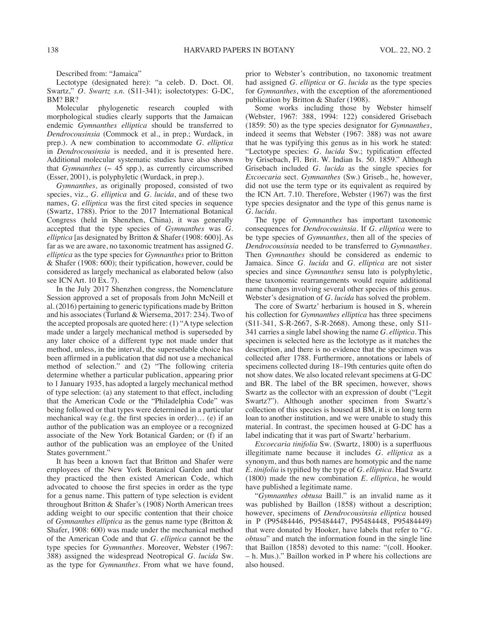Described from: "Jamaica"

Lectotype (designated here): "a celeb. D. Doct. Ol. Swartz," *O. Swartz s.n.* (S11-341); isolectotypes: G-DC, BM? BR?

Molecular phylogenetic research coupled with morphological studies clearly supports that the Jamaican endemic *Gymnanthes elliptica* should be transferred to *Dendrocousinsia* (Commock et al., in prep.; Wurdack, in prep.). A new combination to accommodate *G. elliptica* in *Dendrocousinsia* is needed, and it is presented here. Additional molecular systematic studies have also shown that *Gymnanthes* ( $\sim$  45 spp.), as currently circumscribed (Esser, 2001), is polyphyletic (Wurdack, in prep.).

*Gymnanthes,* as originally proposed, consisted of two species, viz., *G. elliptica* and *G. lucida*, and of these two names, *G. elliptica* was the first cited species in sequence (Swartz, 1788). Prior to the 2017 International Botanical Congress (held in Shenzhen, China), it was generally accepted that the type species of *Gymnanthes* was *G. elliptica* [as designated by Britton & Shafer (1908: 600)]. As far as we are aware, no taxonomic treatment has assigned *G. elliptica* as the type species for *Gymnanthes* prior to Britton & Shafer (1908: 600); their typification, however, could be considered as largely mechanical as elaborated below (also see ICN Art. 10 Ex. 7).

In the July 2017 Shenzhen congress, the Nomenclature Session approved a set of proposals from John McNeill et al. (2016) pertaining to generic typifications made by Britton and his associates (Turland & Wiersema, 2017: 234). Two of the accepted proposals are quoted here: (1) "A type selection made under a largely mechanical method is superseded by any later choice of a different type not made under that method, unless, in the interval, the supersedable choice has been affirmed in a publication that did not use a mechanical method of selection." and (2) "The following criteria determine whether a particular publication, appearing prior to 1 January 1935, has adopted a largely mechanical method of type selection: (a) any statement to that effect, including that the American Code or the "Philadelphia Code" was being followed or that types were determined in a particular mechanical way (e.g. the first species in order)… (e) if an author of the publication was an employee or a recognized associate of the New York Botanical Garden; or (f) if an author of the publication was an employee of the United States government."

It has been a known fact that Britton and Shafer were employees of the New York Botanical Garden and that they practiced the then existed American Code, which advocated to choose the first species in order as the type for a genus name. This pattern of type selection is evident throughout Britton & Shafer's (1908) North American trees adding weight to our specific contention that their choice of *Gymnanthes elliptica* as the genus name type (Britton & Shafer, 1908: 600) was made under the mechanical method of the American Code and that *G. elliptica* cannot be the type species for *Gymnanthes*. Moreover, Webster (1967: 388) assigned the widespread Neotropical *G. lucida* Sw. as the type for *Gymnanthes*. From what we have found, prior to Webster's contribution, no taxonomic treatment had assigned *G. elliptica* or *G. lucida* as the type species for *Gymnanthes*, with the exception of the aforementioned publication by Britton & Shafer (1908).

Some works including those by Webster himself (Webster, 1967: 388, 1994: 122) considered Grisebach (1859: 50) as the type species designator for *Gymnanthes*, indeed it seems that Webster (1967: 388) was not aware that he was typifying this genus as in his work he stated: "Lectotype species: *G. lucida* Sw.; typification effected by Grisebach, Fl. Brit. W. Indian Is. 50. 1859." Although Grisebach included *G. lucida* as the single species for *Excoecaria* sect. *Gymnanthes* (Sw.) Griseb., he, however, did not use the term type or its equivalent as required by the ICN Art. 7.10. Therefore, Webster (1967) was the first type species designator and the type of this genus name is *G. lucida*.

The type of *Gymnanthes* has important taxonomic consequences for *Dendrocousinsia*. If *G. elliptica* were to be type species of *Gymnanthes*, then all of the species of *Dendrocousinsia* needed to be transferred to *Gymnanthes*. Then *Gymnanthes* should be considered as endemic to Jamaica. Since *G. lucida* and *G. elliptica* are not sister species and since *Gymnanthes* sensu lato is polyphyletic, these taxonomic rearrangements would require additional name changes involving several other species of this genus. Webster's designation of *G. lucida* has solved the problem.

The core of Swartz' herbarium is housed in S, wherein his collection for *Gymnanthes elliptica* has three specimens (S11-341, S-R-2667, S-R-2668). Among these, only S11- 341 carries a single label showing the name *G. elliptica*. This specimen is selected here as the lectotype as it matches the description, and there is no evidence that the specimen was collected after 1788. Furthermore, annotations or labels of specimens collected during 18–19th centuries quite often do not show dates. We also located relevant specimens at G-DC and BR. The label of the BR specimen, however, shows Swartz as the collector with an expression of doubt ("Legit Swartz?"). Although another specimen from Swartz's collection of this species is housed at BM, it is on long term loan to another institution, and we were unable to study this material. In contrast, the specimen housed at G-DC has a label indicating that it was part of Swartz' herbarium.

*Excoecaria tinifolia* Sw. (Swartz, 1800) is a superfluous illegitimate name because it includes *G. elliptica* as a synonym, and thus both names are homotypic and the name *E. tinifolia* is typified by the type of *G. elliptica*. Had Swartz (1800) made the new combination *E. elliptica*, he would have published a legitimate name.

"*Gymnanthes obtusa* Baill." is an invalid name as it was published by Baillon (1858) without a description; however, specimens of *Dendrocousinsia elliptica* housed in P (P95484446, P95484447, P95484448, P95484449) that were donated by Hooker, have labels that refer to "*G. obtusa*" and match the information found in the single line that Baillon (1858) devoted to this name: "(coll. Hooker. – h. Mus.)." Baillon worked in P where his collections are also housed.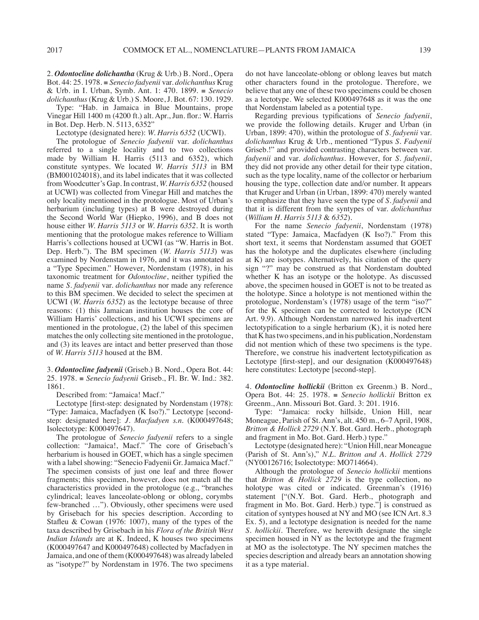2. *Odontocline dolichantha* (Krug & Urb.) B. Nord., Opera Bot. 44: 25. 1978. ≡ *Senecio fadyenii* var. *dolichanthus* Krug & Urb. in I. Urban, Symb. Ant. 1: 470. 1899. ≡ *Senecio dolichanthus* (Krug & Urb.) S. Moore, J. Bot. 67: 130. 1929.

Type: "Hab. in Jamaica in Blue Mountains, prope Vinegar Hill 1400 m (4200 ft.) alt. Apr., Jun. flor.: W. Harris in Bot. Dep. Herb. N. 5113, 6352"

Lectotype (designated here): *W. Harris 6352* (UCWI).

The protologue of *Senecio fadyenii* var. *dolichanthus* referred to a single locality and to two collections made by William H. Harris (5113 and 6352), which constitute syntypes. We located *W. Harris 5113* in BM (BM001024018), and its label indicates that it was collected from Woodcutter's Gap. In contrast, *W. Harris 6352* (housed at UCWI) was collected from Vinegar Hill and matches the only locality mentioned in the protologue. Most of Urban's herbarium (including types) at B were destroyed during the Second World War (Hiepko, 1996), and B does not house either *W. Harris 5113* or *W. Harris 6352*. It is worth mentioning that the protologue makes reference to William Harris's collections housed at UCWI (as "W. Harris in Bot. Dep. Herb."). The BM specimen (*W. Harris 5113*) was examined by Nordenstam in 1976, and it was annotated as a "Type Specimen." However, Nordenstam (1978), in his taxonomic treatment for *Odontocline*, neither typified the name *S. fadyenii* var. *dolichanthus* nor made any reference to this BM specimen. We decided to select the specimen at UCWI (*W. Harris 6352*) as the lectotype because of three reasons: (1) this Jamaican institution houses the core of William Harris' collections, and his UCWI specimens are mentioned in the protologue, (2) the label of this specimen matches the only collecting site mentioned in the protologue, and (3) its leaves are intact and better preserved than those of *W. Harris 5113* housed at the BM.

3. *Odontocline fadyenii* (Griseb.) B. Nord., Opera Bot. 44: 25. 1978. ≡ *Senecio fadyenii* Griseb., Fl. Br. W. Ind.: 382. 1861.

Described from: "Jamaica! Macf."

Lectotype [first-step: designated by Nordenstam (1978): "Type: Jamaica, Macfadyen (K Iso?)." Lectotype [secondstep: designated here]: *J. Macfadyen s.n.* (K000497648; Isolectotype: K000497647).

The protologue of *Senecio fadyenii* refers to a single collection: "Jamaica!, Macf." The core of Grisebach's herbarium is housed in GOET, which has a single specimen with a label showing: "Senecio Fadyenii Gr. Jamaica Macf." The specimen consists of just one leaf and three flower fragments; this specimen, however, does not match all the characteristics provided in the protologue (e.g., "branches cylindrical; leaves lanceolate-oblong or oblong, corymbs few-branched …"). Obviously, other specimens were used by Grisebach for his species description. According to Stafleu & Cowan (1976: 1007), many of the types of the taxa described by Grisebach in his *Flora of the British West Indian Islands* are at K. Indeed, K houses two specimens (K000497647 and K000497648) collected by Macfadyen in Jamaica, and one of them (K000497648) was already labeled as "isotype?" by Nordenstam in 1976. The two specimens

do not have lanceolate-oblong or oblong leaves but match other characters found in the protologue. Therefore, we believe that any one of these two specimens could be chosen as a lectotype. We selected K000497648 as it was the one that Nordenstam labeled as a potential type.

Regarding previous typifications of *Senecio fadyenii*, we provide the following details. Kruger and Urban (in Urban, 1899: 470), within the protologue of *S. fadyenii* var. *dolichanthus* Krug & Urb., mentioned "Typus *S. Fadyenii* Griseb.!" and provided contrasting characters between var. *fadyenii* and var. *dolichanthus*. However, for *S. fadyenii*, they did not provide any other detail for their type citation, such as the type locality, name of the collector or herbarium housing the type, collection date and/or number. It appears that Kruger and Urban (in Urban, 1899: 470) merely wanted to emphasize that they have seen the type of *S. fadyenii* and that it is different from the syntypes of var. *dolichanthus* (*William H. Harris 5113* & *6352*).

For the name *Senecio fadyenii*, Nordenstam (1978) stated "Type: Jamaica, Macfadyen (K Iso?)." From this short text, it seems that Nordenstam assumed that GOET has the holotype and the duplicates elsewhere (including at K) are isotypes. Alternatively, his citation of the query sign "?" may be construed as that Nordenstam doubted whether K has an isotype or the holotype. As discussed above, the specimen housed in GOET is not to be treated as the holotype. Since a holotype is not mentioned within the protologue, Nordenstam's (1978) usage of the term "iso?" for the K specimen can be corrected to lectotype (ICN Art. 9.9). Although Nordenstam narrowed his inadvertent lectotypification to a single herbarium (K), it is noted here that K has two specimens, and in his publication, Nordenstam did not mention which of these two specimens is the type. Therefore, we construe his inadvertent lectotypification as Lectotype [first-step], and our designation (K000497648) here constitutes: Lectotype [second-step].

4. *Odontocline hollickii* (Britton ex Greenm.) B. Nord., Opera Bot. 44: 25. 1978. ≡ *Senecio hollickii* Britton ex Greenm., Ann. Missouri Bot. Gard. 3: 201. 1916.

Type: "Jamaica: rocky hillside, Union Hill, near Moneague, Parish of St. Ann's, alt. 450 m., 6–7 April, 1908, *Britton & Hollick 2729* (N.Y. Bot. Gard. Herb., photograph and fragment in Mo. Bot. Gard. Herb.) type."

Lectotype (designated here): "Union Hill, near Moneague (Parish of St. Ann's)," *N.L. Britton and A. Hollick 2729* (NY00126716; Isolectotype: MO714664).

Although the protologue of *Senecio hollickii* mentions that *Britton & Hollick 2729* is the type collection, no holotype was cited or indicated. Greenman's (1916) statement ["(N.Y. Bot. Gard. Herb., photograph and fragment in Mo. Bot. Gard. Herb.) type."] is construed as citation of syntypes housed at NY and MO (see ICN Art. 8.3 Ex. 5), and a lectotype designation is needed for the name *S. hollickii*. Therefore, we herewith designate the single specimen housed in NY as the lectotype and the fragment at MO as the isolectotype. The NY specimen matches the species description and already bears an annotation showing it as a type material.